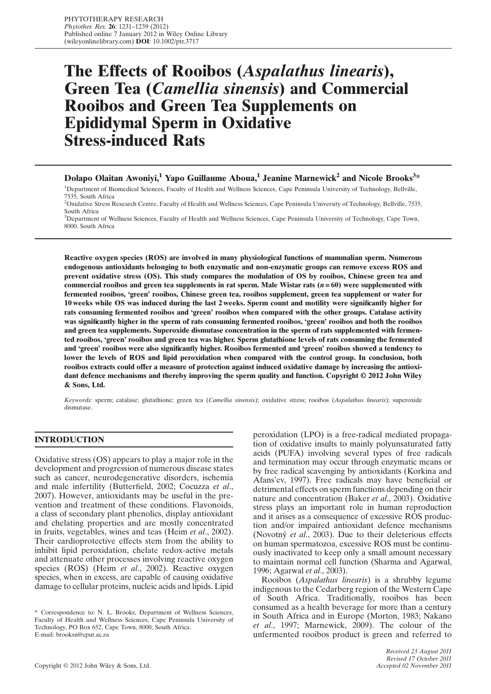# The Effects of Rooibos (Aspalathus linearis), Green Tea (Camellia sinensis) and Commercial Rooibos and Green Tea Supplements on Epididymal Sperm in Oxidative Stress-induced Rats

Dolapo Olaitan Awoniyi,<sup>1</sup> Yapo Guillaume Aboua,<sup>1</sup> Jeanine Marnewick<sup>2</sup> and Nicole Brooks<sup>3\*</sup>

<sup>1</sup>Department of Biomedical Sciences, Faculty of Health and Wellness Sciences, Cape Peninsula University of Technology, Bellville, 7535, South Africa

<sup>2</sup> Oxidative Stress Research Centre, Faculty of Health and Wellness Sciences, Cape Peninsula University of Technology, Bellville, 7535, South Africa

3 Department of Wellness Sciences, Faculty of Health and Wellness Sciences, Cape Peninsula University of Technology, Cape Town, 8000, South Africa

Reactive oxygen species (ROS) are involved in many physiological functions of mammalian sperm. Numerous endogenous antioxidants belonging to both enzymatic and non-enzymatic groups can remove excess ROS and prevent oxidative stress (OS). This study compares the modulation of OS by rooibos, Chinese green tea and commercial rooibos and green tea supplements in rat sperm. Male Wistar rats  $(n = 60)$  were supplemented with fermented rooibos, 'green' rooibos, Chinese green tea, rooibos supplement, green tea supplement or water for 10 weeks while OS was induced during the last 2 weeks. Sperm count and motility were significantly higher for rats consuming fermented rooibos and 'green' rooibos when compared with the other groups. Catalase activity was significantly higher in the sperm of rats consuming fermented rooibos, 'green' rooibos and both the rooibos and green tea supplements. Superoxide dismutase concentration in the sperm of rats supplemented with fermented rooibos, 'green' rooibos and green tea was higher. Sperm glutathione levels of rats consuming the fermented and 'green' rooibos were also significantly higher. Rooibos fermented and 'green' rooibos showed a tendency to lower the levels of ROS and lipid peroxidation when compared with the control group. In conclusion, both rooibos extracts could offer a measure of protection against induced oxidative damage by increasing the antioxidant defence mechanisms and thereby improving the sperm quality and function. Copyright © 2012 John Wiley & Sons, Ltd.

Keywords: sperm; catalase; glutathione; green tea (Camellia sinensis); oxidative stress; rooibos (Aspalathus linearis); superoxide dismutase.

# INTRODUCTION

Oxidative stress (OS) appears to play a major role in the development and progression of numerous disease states such as cancer, neurodegenerative disorders, ischemia and male infertility (Butterfield, 2002; Cocuzza et al., 2007). However, antioxidants may be useful in the prevention and treatment of these conditions. Flavonoids, a class of secondary plant phenolics, display antioxidant and chelating properties and are mostly concentrated in fruits, vegetables, wines and teas (Heim et al., 2002). Their cardioprotective effects stem from the ability to inhibit lipid peroxidation, chelate redox-active metals and attenuate other processes involving reactive oxygen species (ROS) (Heim et al., 2002). Reactive oxygen species, when in excess, are capable of causing oxidative damage to cellular proteins, nucleic acids and lipids. Lipid

\* Correspondence to: N. L. Brooks, Department of Wellness Sciences, Faculty of Health and Wellness Sciences, Cape Peninsula University of Technology, PO Box 652, Cape Town, 8000, South Africa. E-mail: brooksn@cput.ac.za

peroxidation (LPO) is a free-radical mediated propagation of oxidative insults to mainly polyunsaturated fatty acids (PUFA) involving several types of free radicals and termination may occur through enzymatic means or by free radical scavenging by antioxidants (Korkina and Afans'ev, 1997). Free radicals may have beneficial or detrimental effects on sperm functions depending on their nature and concentration (Baker et al., 2003). Oxidative stress plays an important role in human reproduction and it arises as a consequence of excessive ROS production and/or impaired antioxidant defence mechanisms (Novotný et al., 2003). Due to their deleterious effects on human spermatozoa, excessive ROS must be continuously inactivated to keep only a small amount necessary to maintain normal cell function (Sharma and Agarwal, 1996; Agarwal et al., 2003).

Rooibos (Aspalathus linearis) is a shrubby legume indigenous to the Cedarberg region of the Western Cape of South Africa. Traditionally, rooibos has been consumed as a health beverage for more than a century in South Africa and in Europe (Morton, 1983; Nakano et al., 1997; Marnewick, 2009). The colour of the unfermented rooibos product is green and referred to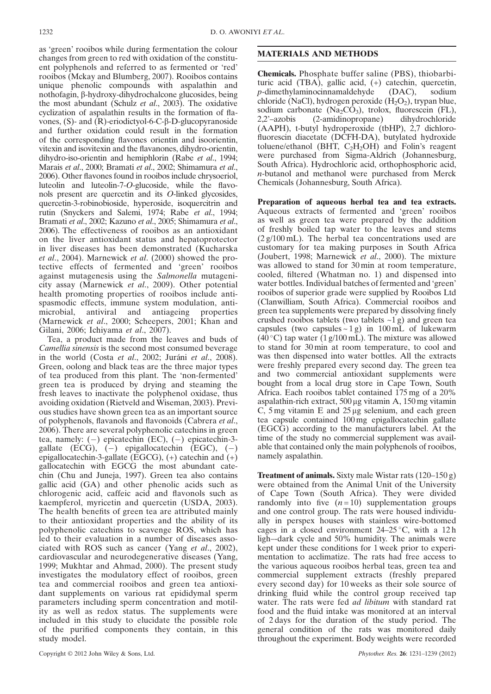as 'green' rooibos while during fermentation the colour changes from green to red with oxidation of the constituent polyphenols and referred to as fermented or 'red' rooibos (Mckay and Blumberg, 2007). Rooibos contains unique phenolic compounds with aspalathin and nothofagin, b-hydroxy-dihydrochalcone glucosides, being the most abundant (Schulz et al., 2003). The oxidative cyclization of aspalathin results in the formation of flavones, (S)- and (R)-eriodictyol-6-C-β-D-glucopyranoside and further oxidation could result in the formation of the corresponding flavones orientin and isoorientin, vitexin and isovitexin and the flavanones, dihydro-orientin, dihydro-iso-orientin and hemiphlorin (Rabe et al., 1994; Marais et al., 2000; Bramati et al., 2002; Shimamura et al., 2006). Other flavones found in rooibos include chrysoeriol, luteolin and luteolin-7-O-glucoside, while the flavonols present are quercetin and its O-linked glycosides, quercetin-3-robinobioside, hyperoside, isoquercitrin and rutin (Snyckers and Salemi, 1974; Rabe et al., 1994; Bramati et al., 2002; Kazuno et al., 2005; Shimamura et al., 2006). The effectiveness of rooibos as an antioxidant on the liver antioxidant status and hepatoprotector in liver diseases has been demonstrated (Kucharska et al., 2004). Marnewick et al. (2000) showed the protective effects of fermented and 'green' rooibos against mutagenesis using the Salmonella mutagenicity assay (Marnewick et al., 2009). Other potential health promoting properties of rooibos include antispasmodic effects, immune system modulation, antimicrobial, antiviral and antiageing properties (Marnewick et al., 2000; Scheepers, 2001; Khan and Gilani, 2006; Ichiyama et al., 2007).

Tea, a product made from the leaves and buds of Camellia sinensis is the second most consumed beverage in the world (Costa et al., 2002; Juráni et al., 2008). Green, oolong and black teas are the three major types of tea produced from this plant. The 'non-fermented' green tea is produced by drying and steaming the fresh leaves to inactivate the polyphenol oxidase, thus avoiding oxidation (Rietveld and Wiseman, 2003). Previous studies have shown green tea as an important source of polyphenols, flavanols and flavonoids (Cabrera et al., 2006). There are several polyphenolic catechins in green tea, namely:  $(-)$  epicatechin (EC),  $(-)$  epicatechin-3gallate (ECG),  $(-)$  epigallocatechin (EGC),  $(-)$ epigallocatechin-3-gallate (EGCG), (+) catechin and (+) gallocatechin with EGCG the most abundant catechin (Chu and Juneja, 1997). Green tea also contains gallic acid (GA) and other phenolic acids such as chlorogenic acid, caffeic acid and flavonols such as kaempferol, myricetin and quercetin (USDA, 2003). The health benefits of green tea are attributed mainly to their antioxidant properties and the ability of its polyphenolic catechins to scavenge ROS, which has led to their evaluation in a number of diseases associated with ROS such as cancer (Yang et al., 2002), cardiovascular and neurodegenerative diseases (Yang, 1999; Mukhtar and Ahmad, 2000). The present study investigates the modulatory effect of rooibos, green tea and commercial rooibos and green tea antioxidant supplements on various rat epididymal sperm parameters including sperm concentration and motility as well as redox status. The supplements were included in this study to elucidate the possible role of the purified components they contain, in this study model.

## MATERIALS AND METHODS

Chemicals. Phosphate buffer saline (PBS), thiobarbituric acid (TBA), gallic acid, (+) catechin, quercetin, p-dimethylaminocinnamaldehyde (DAC), sodium chloride (NaCl), hydrogen peroxide  $(H_2O_2)$ , trypan blue, sodium carbonate (Na<sub>2</sub>CO<sub>3</sub>), trolox, fluorescein (FL), 2,2'-azobis (2-amidinopropane) dihydrochloride  $(2$ -amidinopropane) (AAPH), t-butyl hydroperoxide (tbHP), 2,7 dichlorofluorescin diacetate (DCFH-DA), butylated hydroxide toluene/ethanol (BHT,  $C_2H_2OH$ ) and Folin's reagent were purchased from Sigma-Aldrich (Johannesburg, South Africa). Hydrochloric acid, orthophosphoric acid, n-butanol and methanol were purchased from Merck Chemicals (Johannesburg, South Africa).

Preparation of aqueous herbal tea and tea extracts. Aqueous extracts of fermented and 'green' rooibos as well as green tea were prepared by the addition of freshly boiled tap water to the leaves and stems  $(2 g/100 \text{ mL})$ . The herbal tea concentrations used are customary for tea making purposes in South Africa (Joubert, 1998; Marnewick et al., 2000). The mixture was allowed to stand for 30 min at room temperature, cooled, filtered (Whatman no. 1) and dispensed into water bottles. Individual batches of fermented and 'green' rooibos of superior grade were supplied by Rooibos Ltd (Clanwilliam, South Africa). Commercial rooibos and green tea supplements were prepared by dissolving finely crushed rooibos tablets (two tablets  $\sim$ 1 g) and green tea capsules (two capsules  $\sim 1 g$ ) in 100 mL of lukewarm (40 °C) tap water (1 g/100 mL). The mixture was allowed to stand for 30 min at room temperature, to cool and was then dispensed into water bottles. All the extracts were freshly prepared every second day. The green tea and two commercial antioxidant supplements were bought from a local drug store in Cape Town, South Africa. Each rooibos tablet contained 175 mg of a 20% aspalathin-rich extract,  $500 \mu$ g vitamin A,  $150 \mu$ g vitamin C,  $5 \text{ mg}$  vitamin E and  $25 \mu$ g selenium, and each green tea capsule contained 100 mg epigallocatechin gallate (EGCG) according to the manufacturers label. At the time of the study no commercial supplement was available that contained only the main polyphenols of rooibos, namely aspalathin.

Treatment of animals. Sixty male Wistar rats (120–150 g) were obtained from the Animal Unit of the University of Cape Town (South Africa). They were divided randomly into five  $(n=10)$  supplementation groups and one control group. The rats were housed individually in perspex houses with stainless wire-bottomed cages in a closed environment  $24-25$  °C, with a 12 h ligh–-dark cycle and 50% humidity. The animals were kept under these conditions for 1 week prior to experimentation to acclimatize. The rats had free access to the various aqueous rooibos herbal teas, green tea and commercial supplement extracts (freshly prepared every second day) for 10 weeks as their sole source of drinking fluid while the control group received tap water. The rats were fed ad libitum with standard rat food and the fluid intake was monitored at an interval of 2 days for the duration of the study period. The general condition of the rats was monitored daily throughout the experiment. Body weights were recorded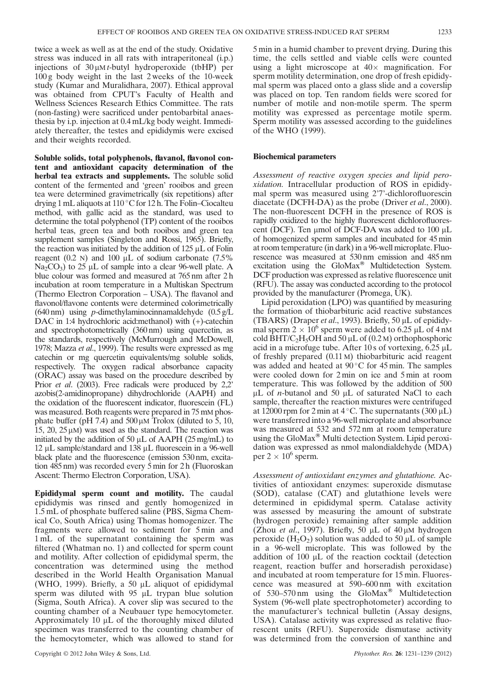twice a week as well as at the end of the study. Oxidative stress was induced in all rats with intraperitoneal (i.p.) injections of  $30 \mu M t$ -butyl hydroperoxide (tbHP) per 100 g body weight in the last 2 weeks of the 10-week study (Kumar and Muralidhara, 2007). Ethical approval was obtained from CPUT's Faculty of Health and Wellness Sciences Research Ethics Committee. The rats (non-fasting) were sacrificed under pentobarbital anaesthesia by i.p. injection at 0.4 mL/kg body weight. Immediately thereafter, the testes and epididymis were excised and their weights recorded.

Soluble solids, total polyphenols, flavanol, flavonol content and antioxidant capacity determination of the herbal tea extracts and supplements. The soluble solid content of the fermented and 'green' rooibos and green tea were determined gravimetrically (six repetitions) after drying 1 mL aliquots at  $110^{\circ}$ C for 12 h. The Folin–Ciocalteu method, with gallic acid as the standard, was used to determine the total polyphenol (TP) content of the rooibos herbal teas, green tea and both rooibos and green tea supplement samples (Singleton and Rossi, 1965). Briefly, the reaction was initiated by the addition of  $125 \mu L$  of Folin reagent  $(0.2 \text{ N})$  and  $100 \mu L$  of sodium carbonate  $(7.5\%$  $Na<sub>2</sub>CO<sub>3</sub>$ ) to 25 µL of sample into a clear 96-well plate. A blue colour was formed and measured at 765 nm after 2 h incubation at room temperature in a Multiskan Spectrum (Thermo Electron Corporation – USA). The flavanol and flavonol/flavone contents were determined colorimetrically (640 nm) using p-dimethylaminocinnamaldehyde  $(0.5 \text{ g/L})$ DAC in 1:4 hydrochloric acid:methanol) with  $(+)$ -catechin and spectrophotometrically (360 nm) using quercetin, as the standards, respectively (McMurrough and McDowell, 1978; Mazza *et al.*, 1999). The results were expressed as mg catechin or mg quercetin equivalents/mg soluble solids, respectively. The oxygen radical absorbance capacity (ORAC) assay was based on the procedure described by Prior et al. (2003). Free radicals were produced by 2,2' azobis(2-amidinopropane) dihydrochloride (AAPH) and the oxidation of the fluorescent indicator, fluorescein (FL) was measured. Both reagents were prepared in 75 mM phosphate buffer (pH 7.4) and  $500 \mu M$  Trolox (diluted to 5, 10, 15, 20, 25  $\mu$ M) was used as the standard. The reaction was initiated by the addition of 50  $\mu$ L of AAPH (25 mg/mL) to 12 µL sample/standard and 138 µL fluorescein in a 96-well black plate and the fluorescence (emission 530 nm, excitation 485 nm) was recorded every 5min for 2 h (Fluoroskan Ascent: Thermo Electron Corporation, USA).

Epididymal sperm count and motility. The caudal epididymis was rinsed and gently homogenized in 1.5 mL of phosphate buffered saline (PBS, Sigma Chemical Co, South Africa) using Thomas homogenizer. The fragments were allowed to sediment for 5 min and 1 mL of the supernatant containing the sperm was filtered (Whatman no. 1) and collected for sperm count and motility. After collection of epididymal sperm, the concentration was determined using the method described in the World Health Organisation Manual (WHO, 1999). Briefly, a 50  $\mu$ L aliquot of epididymal sperm was diluted with  $95 \mu L$  trypan blue solution (Sigma, South Africa). A cover slip was secured to the counting chamber of a Neubauer type hemocytometer. Approximately 10  $\mu$ L of the thoroughly mixed diluted specimen was transferred to the counting chamber of the hemocytometer, which was allowed to stand for

5 min in a humid chamber to prevent drying. During this time, the cells settled and viable cells were counted using a light microscope at  $40 \times$  magnification. For sperm motility determination, one drop of fresh epididymal sperm was placed onto a glass slide and a coverslip was placed on top. Ten random fields were scored for number of motile and non-motile sperm. The sperm motility was expressed as percentage motile sperm. Sperm motility was assessed according to the guidelines of the WHO (1999).

## Biochemical parameters

Assessment of reactive oxygen species and lipid peroxidation. Intracellular production of ROS in epididymal sperm was measured using 2'7'-dichlorofluorescin diacetate (DCFH-DA) as the probe (Driver et al., 2000). The non-fluorescent DCFH in the presence of ROS is rapidly oxidized to the highly fluorescent dichlorofluorescent (DCF). Ten  $\mu$ mol of DCF-DA was added to 100  $\mu$ L of homogenized sperm samples and incubated for 45 min at room temperature (in dark) in a 96-well microplate. Fluorescence was measured at 530 nm emission and 485 nm excitation using the  $G$ loMax $^{\circledR}$  Multidetection System. DCF production was expressed as relative fluorescence unit (RFU). The assay was conducted according to the protocol provided by the manufacturer (Promega, UK).

Lipid peroxidation (LPO) was quantified by measuring the formation of thiobarbituric acid reactive substances (TBARS) (Draper et al., 1993). Briefly, 50  $\mu$ L of epididymal sperm  $2 \times 10^6$  sperm were added to 6.25 µL of 4 nM cold  $\overline{BHT}/C_2H_5OH$  and 50 µL of (0.2 M) orthophosphoric acid in a microfuge tube. After  $10 s$  of vortexing,  $6.25 \mu L$ of freshly prepared (0.11 M) thiobarbituric acid reagent was added and heated at  $90^{\circ}$ C for 45 min. The samples were cooled down for 2 min on ice and 5 min at room temperature. This was followed by the addition of 500  $\mu$ L of *n*-butanol and 50  $\mu$ L of saturated NaCl to each sample, thereafter the reaction mixtures were centrifuged at 12000 rpm for 2 min at  $4^{\circ}$ C. The supernatants (300  $\mu$ L) were transferred into a 96-well microplate and absorbance was measured at 532 and 572 nm at room temperature using the GloMax<sup>®</sup> Multi detection System. Lipid peroxidation was expressed as nmol malondialdehyde (MDA) per  $2 \times 10^6$  sperm.

Assessment of antioxidant enzymes and glutathione. Activities of antioxidant enzymes: superoxide dismutase (SOD), catalase (CAT) and glutathione levels were determined in epididymal sperm. Catalase activity was assessed by measuring the amount of substrate (hydrogen peroxide) remaining after sample addition (Zhou et al., 1997). Briefly, 50  $\mu$ L of 40  $\mu$ M hydrogen peroxide  $(H_2O_2)$  solution was added to 50  $\mu$ L of sample in a 96-well microplate. This was followed by the addition of 100  $\mu$ L of the reaction cocktail (detection reagent, reaction buffer and horseradish peroxidase) and incubated at room temperature for 15 min. Fluorescence was measured at 590–600 nm with excitation of 530–570 nm using the GloMax<sup>®</sup> Multidetection System (96-well plate spectrophotometer) according to the manufacturer's technical bulletin (Assay designs, USA). Catalase activity was expressed as relative fluorescent units (RFU). Superoxide dismutase activity was determined from the conversion of xanthine and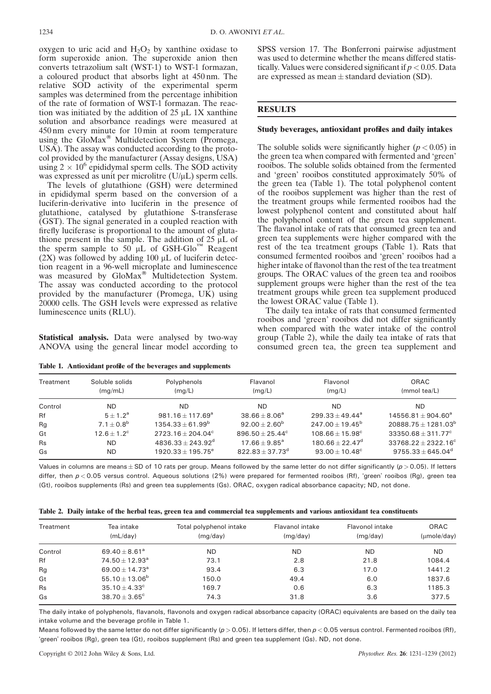oxygen to uric acid and  $H_2O_2$  by xanthine oxidase to form superoxide anion. The superoxide anion then converts tetrazolium salt (WST-1) to WST-1 formazan, a coloured product that absorbs light at 450 nm. The relative SOD activity of the experimental sperm samples was determined from the percentage inhibition of the rate of formation of WST-1 formazan. The reaction was initiated by the addition of  $25 \mu L$  1X xanthine solution and absorbance readings were measured at 450 nm every minute for 10 min at room temperature using the GloMax<sup>®</sup> Multidetection System (Promega, USA). The assay was conducted according to the protocol provided by the manufacturer (Assay designs, USA) using  $2 \times 10^6$  epididymal sperm cells. The SOD activity was expressed as unit per microlitre  $(U/\mu L)$  sperm cells.

The levels of glutathione (GSH) were determined in epididymal sperm based on the conversion of a luciferin-derivative into luciferin in the presence of glutathione, catalysed by glutathione S-transferase (GST). The signal generated in a coupled reaction with firefly luciferase is proportional to the amount of glutathione present in the sample. The addition of  $25 \mu L$  of the sperm sample to 50  $\mu$ L of GSH-Glo<sup>™</sup> Reagent  $(2X)$  was followed by adding 100  $\mu$ L of luciferin detection reagent in a 96-well microplate and luminescence was measured by GloMax<sup>®</sup> Multidetection System. The assay was conducted according to the protocol provided by the manufacturer (Promega, UK) using 20000 cells. The GSH levels were expressed as relative luminescence units (RLU).

Statistical analysis. Data were analysed by two-way ANOVA using the general linear model according to

Table 1. Antioxidant profile of the beverages and supplements

SPSS version 17. The Bonferroni pairwise adjustment was used to determine whether the means differed statistically. Values were considered significant if  $p < 0.05$ . Data are expressed as mean  $\pm$  standard deviation (SD).

## **RESULTS**

### Study beverages, antioxidant profiles and daily intakes

The soluble solids were significantly higher ( $p < 0.05$ ) in the green tea when compared with fermented and 'green' rooibos. The soluble solids obtained from the fermented and 'green' rooibos constituted approximately 50% of the green tea (Table 1). The total polyphenol content of the rooibos supplement was higher than the rest of the treatment groups while fermented rooibos had the lowest polyphenol content and constituted about half the polyphenol content of the green tea supplement. The flavanol intake of rats that consumed green tea and green tea supplements were higher compared with the rest of the tea treatment groups (Table 1). Rats that consumed fermented rooibos and 'green' rooibos had a higher intake of flavonol than the rest of the tea treatment groups. The ORAC values of the green tea and rooibos supplement groups were higher than the rest of the tea treatment groups while green tea supplement produced the lowest ORAC value (Table 1).

The daily tea intake of rats that consumed fermented rooibos and 'green' rooibos did not differ significantly when compared with the water intake of the control group (Table 2), while the daily tea intake of rats that consumed green tea, the green tea supplement and

| Treatment | Soluble solids<br>(mq/mL) | Polyphenols<br>(mg/L)      | Flavanol<br>(mq/L)       | Flavonol<br>(mg/L)         | ORAC<br>(mmol tea/L)          |  |
|-----------|---------------------------|----------------------------|--------------------------|----------------------------|-------------------------------|--|
| Control   | ND.                       | ND.                        | <b>ND</b>                | <b>ND</b>                  | <b>ND</b>                     |  |
| Rf        | $5 + 1.2^a$               | $981.16 \pm 117.69^a$      | $38.66 \pm 8.06^a$       | $299.33 + 49.44^a$         | $14556.81 \pm 904.60^a$       |  |
| Rg        | $7.1 + 0.8^{b}$           | $1354.33 + 61.99^b$        | $92.00 + 2.60^b$         | $247.00 + 19.45^{\rm b}$   | $20888.75 \pm 1281.03^b$      |  |
| Gt        | $12.6 \pm 1.2^{\circ}$    | $2723.16 + 204.04^{\circ}$ | $896.50 + 25.44^{\circ}$ | $108.66 \pm 15.98^{\circ}$ | $33350.68 \pm 311.77^{\circ}$ |  |
| <b>Rs</b> | <b>ND</b>                 | $4836.33 + 243.92^d$       | $17.66 + 9.85^a$         | $180.66 + 22.47^d$         | $33768.22 + 2322.16^{\circ}$  |  |
| Gs        | <b>ND</b>                 | $1920.33 + 195.75^e$       | $822.83 + 37.73^d$       | $93.00 + 10.48^{\circ}$    | $9755.33 \pm 645.04^d$        |  |
|           |                           |                            |                          |                            |                               |  |

Values in columns are means  $\pm$  SD of 10 rats per group. Means followed by the same letter do not differ significantly ( $p$  > 0.05). If letters differ, then  $p < 0.05$  versus control. Aqueous solutions (2%) were prepared for fermented rooibos (Rf), 'green' rooibos (Rg), green tea (Gt), rooibos supplements (Rs) and green tea supplements (Gs). ORAC, oxygen radical absorbance capacity; ND, not done.

|  | Table 2. Daily intake of the herbal teas, green tea and commercial tea supplements and various antioxidant tea constituents |  |  |  |
|--|-----------------------------------------------------------------------------------------------------------------------------|--|--|--|
|  |                                                                                                                             |  |  |  |

| Treatment | Tea intake<br>(mL/day)         | Total polyphenol intake<br>(mq/day) | Flavanol intake<br>(mg/day) | Flavonol intake<br>(mq/day) | ORAC<br>(umole/day) |
|-----------|--------------------------------|-------------------------------------|-----------------------------|-----------------------------|---------------------|
| Control   | 69.40 $\pm$ 8.61 <sup>a</sup>  | <b>ND</b>                           | <b>ND</b>                   | <b>ND</b>                   | N <sub>D</sub>      |
| Rf        | $74.50 \pm 12.93^a$            | 73.1                                | 2.8                         | 21.8                        | 1084.4              |
| <b>Rg</b> | $69.00 + 14.73^a$              | 93.4                                | 6.3                         | 17.0                        | 1441.2              |
| Gt        | 55.10 $\pm$ 13.06 <sup>b</sup> | 150.0                               | 49.4                        | 6.0                         | 1837.6              |
| <b>Rs</b> | $35.10 \pm 4.33^c$             | 169.7                               | 0.6                         | 6.3                         | 1185.3              |
| Gs        | $38.70 \pm 3.65^{\circ}$       | 74.3                                | 31.8                        | 3.6                         | 377.5               |

The daily intake of polyphenols, flavanols, flavonols and oxygen radical absorbance capacity (ORAC) equivalents are based on the daily tea intake volume and the beverage profile in Table 1.

Means followed by the same letter do not differ significantly ( $p > 0.05$ ). If letters differ, then  $p < 0.05$  versus control. Fermented rooibos (Rf), 'green' rooibos (Rg), green tea (Gt), rooibos supplement (Rs) and green tea supplement (Gs). ND, not done.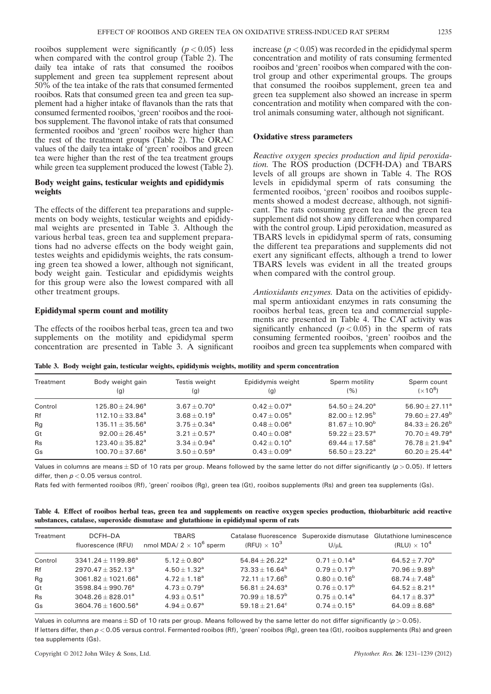rooibos supplement were significantly  $(p < 0.05)$  less when compared with the control group (Table 2). The daily tea intake of rats that consumed the rooibos supplement and green tea supplement represent about 50% of the tea intake of the rats that consumed fermented rooibos. Rats that consumed green tea and green tea supplement had a higher intake of flavanols than the rats that consumed fermented rooibos, 'green'rooibos and the rooibos supplement. The flavonol intake of rats that consumed fermented rooibos and 'green' rooibos were higher than the rest of the treatment groups (Table 2). The ORAC values of the daily tea intake of 'green' rooibos and green tea were higher than the rest of the tea treatment groups while green tea supplement produced the lowest (Table 2).

### Body weight gains, testicular weights and epididymis weights

The effects of the different tea preparations and supplements on body weights, testicular weights and epididymal weights are presented in Table 3. Although the various herbal teas, green tea and supplement preparations had no adverse effects on the body weight gain, testes weights and epididymis weights, the rats consuming green tea showed a lower, although not significant, body weight gain. Testicular and epididymis weights for this group were also the lowest compared with all other treatment groups.

## Epididymal sperm count and motility

The effects of the rooibos herbal teas, green tea and two supplements on the motility and epididymal sperm concentration are presented in Table 3. A significant

increase  $(p < 0.05)$  was recorded in the epididymal sperm concentration and motility of rats consuming fermented rooibos and 'green' rooibos when compared with the control group and other experimental groups. The groups that consumed the rooibos supplement, green tea and green tea supplement also showed an increase in sperm concentration and motility when compared with the control animals consuming water, although not significant.

#### Oxidative stress parameters

Reactive oxygen species production and lipid peroxidation. The ROS production (DCFH-DA) and TBARS levels of all groups are shown in Table 4. The ROS levels in epididymal sperm of rats consuming the fermented rooibos, 'green' rooibos and rooibos supplements showed a modest decrease, although, not significant. The rats consuming green tea and the green tea supplement did not show any difference when compared with the control group. Lipid peroxidation, measured as TBARS levels in epididymal sperm of rats, consuming the different tea preparations and supplements did not exert any significant effects, although a trend to lower TBARS levels was evident in all the treated groups when compared with the control group.

Antioxidants enzymes. Data on the activities of epididymal sperm antioxidant enzymes in rats consuming the rooibos herbal teas, green tea and commercial supplements are presented in Table 4. The CAT activity was significantly enhanced  $(p < 0.05)$  in the sperm of rats consuming fermented rooibos, 'green' rooibos and the rooibos and green tea supplements when compared with

|  |  |  |  |  | Table 3. Body weight gain, testicular weights, epididymis weights, motility and sperm concentration |
|--|--|--|--|--|-----------------------------------------------------------------------------------------------------|
|  |  |  |  |  |                                                                                                     |

| Treatment | Body weight gain<br>(q) | Testis weight<br>(g)         | Epididymis weight<br>(q)   | Sperm motility<br>(%)     | Sperm count<br>$(x10^6)$ |  |
|-----------|-------------------------|------------------------------|----------------------------|---------------------------|--------------------------|--|
| Control   | $125.80 + 24.96^a$      | $3.67 + 0.70^a$              | $0.42 + 0.07$ <sup>a</sup> | $54.50 + 24.20^a$         | $56.90 \pm 27.11^a$      |  |
| Rf        | $112.10 + 33.84^a$      | $3.68 \pm 0.19^a$            | $0.47 + 0.05^{\circ}$      | $82.00 + 12.95^b$         | $79.60 \pm 27.49^b$      |  |
| Rg        | $135.11 \pm 35.56^a$    | $3.75 + 0.34^a$              | $0.48 + 0.06^a$            | $81.67 \pm 10.90^{\rm b}$ | $84.33 \pm 26.26^b$      |  |
| Gt        | $92.00 + 26.45^a$       | $3.21 \pm 0.57$ <sup>a</sup> | $0.40 + 0.08$ <sup>a</sup> | $59.22 + 23.57^a$         | $70.70 + 49.79^a$        |  |
| <b>Rs</b> | $123.40 \pm 35.82^a$    | $3.34 + 0.94^a$              | $0.42 + 0.10^a$            | $69.44 + 17.58^a$         | $76.78 + 21.94^a$        |  |
| Gs        | $100.70 + 37.66^a$      | $3.50 + 0.59^{\circ}$        | $0.43 + 0.09^a$            | $56.50 + 23.22^a$         | $60.20 + 25.44^a$        |  |

Values in columns are means  $\pm$  SD of 10 rats per group. Means followed by the same letter do not differ significantly ( $p$  > 0.05). If letters differ, then  $p < 0.05$  versus control.

Rats fed with fermented rooibos (Rf), 'green' rooibos (Rg), green tea (Gt), rooibos supplements (Rs) and green tea supplements (Gs).

|  |  |  |  |                                                                                        |  |  | Table 4. Effect of rooibos herbal teas, green tea and supplements on reactive oxygen species production, thiobarbituric acid reactive |  |
|--|--|--|--|----------------------------------------------------------------------------------------|--|--|---------------------------------------------------------------------------------------------------------------------------------------|--|
|  |  |  |  | substances, catalase, superoxide dismutase and glutathione in epididymal sperm of rats |  |  |                                                                                                                                       |  |

| Treatment       | DCFH-DA<br>fluorescence (RFU)                     | <b>TBARS</b><br>nmol MDA/ $2 \times 10^6$ sperm | Catalase fluorescence<br>(RFU) $\times$ 10 <sup>3</sup> | U/uL                               | Superoxide dismutase Glutathione luminescence<br>(RLU) $\times$ 10 <sup>4</sup> |
|-----------------|---------------------------------------------------|-------------------------------------------------|---------------------------------------------------------|------------------------------------|---------------------------------------------------------------------------------|
| Control         | $3341.24 \pm 1199.86^a$                           | $5.12 \pm 0.80^a$                               | $54.84 + 26.22^a$                                       | $0.71 + 0.14^a$                    | $64.52 + 7.70^a$                                                                |
| Rf              | $2970.47 \pm 352.13^a$                            | $4.50 + 1.32$ <sup>a</sup>                      | $73.33 \pm 16.64^b$                                     | $0.79 \pm 0.17^b$                  | $70.96 \pm 9.89^b$                                                              |
| Rg              | $3061.82 + 1021.66^a$                             | $4.72 \pm 1.18^a$                               | $72.11 \pm 17.66^b$                                     | $0.80 + 0.16^b$                    | 68.74 $\pm$ 7.48 <sup>b</sup>                                                   |
| Gt              | $3598.84 \pm 990.76^a$                            | $4.73 + 0.79$ <sup>a</sup>                      | $56.81 + 24.63^a$                                       | $0.76 + 0.17^b$                    | $64.52 + 8.21$ <sup>a</sup>                                                     |
| <b>Rs</b><br>Gs | $3048.26 \pm 828.01^a$<br>$3604.76 \pm 1600.56^a$ | $4.93 \pm 0.51^a$<br>$4.94 \pm 0.67^{\circ}$    | $70.99 + 18.57^b$<br>$59.18 \pm 21.64^c$                | $0.75 + 0.14^a$<br>$0.74 + 0.15^a$ | 64.17 $\pm$ 8.37 <sup>a</sup><br>$64.09 \pm 8.68^a$                             |

Values in columns are means  $\pm$  SD of 10 rats per group. Means followed by the same letter do not differ significantly ( $p > 0.05$ ). If letters differ, then  $p < 0.05$  versus control. Fermented rooibos (Rf), 'green' rooibos (Rg), green tea (Gt), rooibos supplements (Rs) and green tea supplements (Gs).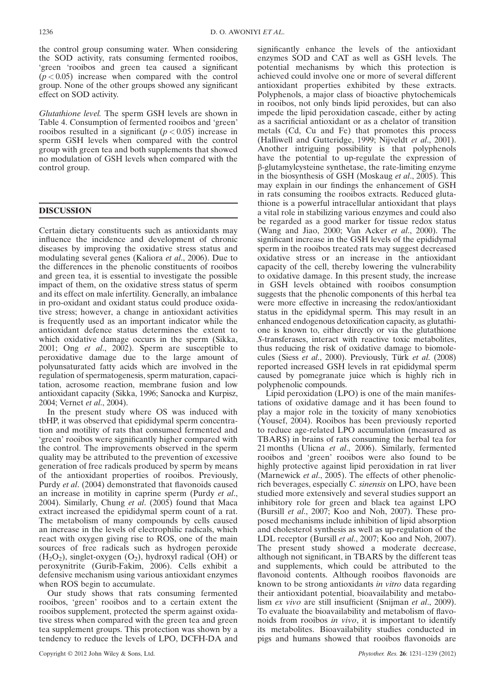the control group consuming water. When considering the SOD activity, rats consuming fermented rooibos, 'green 'rooibos and green tea caused a significant  $(p < 0.05)$  increase when compared with the control group. None of the other groups showed any significant effect on SOD activity.

Glutathione level. The sperm GSH levels are shown in Table 4. Consumption of fermented rooibos and 'green' rooibos resulted in a significant  $(p < 0.05)$  increase in sperm GSH levels when compared with the control group with green tea and both supplements that showed no modulation of GSH levels when compared with the control group.

# DISCUSSION

Certain dietary constituents such as antioxidants may influence the incidence and development of chronic diseases by improving the oxidative stress status and modulating several genes (Kaliora et al., 2006). Due to the differences in the phenolic constituents of rooibos and green tea, it is essential to investigate the possible impact of them, on the oxidative stress status of sperm and its effect on male infertility. Generally, an imbalance in pro-oxidant and oxidant status could produce oxidative stress; however, a change in antioxidant activities is frequently used as an important indicator while the antioxidant defence status determines the extent to which oxidative damage occurs in the sperm (Sikka, 2001; Ong et al., 2002). Sperm are susceptible to peroxidative damage due to the large amount of polyunsaturated fatty acids which are involved in the regulation of spermatogenesis, sperm maturation, capacitation, acrosome reaction, membrane fusion and low antioxidant capacity (Sikka, 1996; Sanocka and Kurpisz, 2004; Vernet et al., 2004).

In the present study where OS was induced with tbHP, it was observed that epididymal sperm concentration and motility of rats that consumed fermented and 'green' rooibos were significantly higher compared with the control. The improvements observed in the sperm quality may be attributed to the prevention of excessive generation of free radicals produced by sperm by means of the antioxidant properties of rooibos. Previously, Purdy et al. (2004) demonstrated that flavonoids caused an increase in motility in caprine sperm (Purdy et al., 2004). Similarly, Chung et al. (2005) found that Maca extract increased the epididymal sperm count of a rat. The metabolism of many compounds by cells caused an increase in the levels of electrophilic radicals, which react with oxygen giving rise to ROS, one of the main sources of free radicals such as hydrogen peroxide  $(H<sub>2</sub>O<sub>2</sub>)$ , singlet-oxygen  $(O<sub>2</sub>)$ , hydroxyl radical  $(OH)$  or peroxynitrite (Gurib-Fakim, 2006). Cells exhibit a defensive mechanism using various antioxidant enzymes when ROS begin to accumulate.

Our study shows that rats consuming fermented rooibos, 'green' rooibos and to a certain extent the rooibos supplement, protected the sperm against oxidative stress when compared with the green tea and green tea supplement groups. This protection was shown by a tendency to reduce the levels of LPO, DCFH-DA and

significantly enhance the levels of the antioxidant enzymes SOD and CAT as well as GSH levels. The potential mechanisms by which this protection is achieved could involve one or more of several different antioxidant properties exhibited by these extracts. Polyphenols, a major class of bioactive phytochemicals in rooibos, not only binds lipid peroxides, but can also impede the lipid peroxidation cascade, either by acting as a sacrificial antioxidant or as a chelator of transition metals (Cd, Cu and Fe) that promotes this process (Halliwell and Gutteridge, 1999; Nijveldt et al., 2001). Another intriguing possibility is that polyphenols have the potential to up-regulate the expression of b-glutamylcysteine synthetase, the rate-limiting enzyme in the biosynthesis of GSH (Moskaug et al., 2005). This may explain in our findings the enhancement of GSH in rats consuming the rooibos extracts. Reduced glutathione is a powerful intracellular antioxidant that plays a vital role in stabilizing various enzymes and could also be regarded as a good marker for tissue redox status (Wang and Jiao, 2000; Van Acker et al., 2000). The significant increase in the GSH levels of the epididymal sperm in the rooibos treated rats may suggest decreased oxidative stress or an increase in the antioxidant capacity of the cell, thereby lowering the vulnerability to oxidative damage. In this present study, the increase in GSH levels obtained with rooibos consumption suggests that the phenolic components of this herbal tea were more effective in increasing the redox/antioxidant status in the epididymal sperm. This may result in an enhanced endogenous detoxification capacity, as glutathione is known to, either directly or via the glutathione S-transferases, interact with reactive toxic metabolites, thus reducing the risk of oxidative damage to biomolecules (Siess et al., 2000). Previously, Türk et al. (2008) reported increased GSH levels in rat epididymal sperm caused by pomegranate juice which is highly rich in polyphenolic compounds.

Lipid peroxidation (LPO) is one of the main manifestations of oxidative damage and it has been found to play a major role in the toxicity of many xenobiotics (Yousef, 2004). Rooibos has been previously reported to reduce age-related LPO accumulation (measured as TBARS) in brains of rats consuming the herbal tea for 21 months (Ulicna et al., 2006). Similarly, fermented rooibos and 'green' rooibos were also found to be highly protective against lipid peroxidation in rat liver (Marnewick *et al.*, 2005). The effects of other phenolicrich beverages, especially C. sinensis on LPO, have been studied more extensively and several studies support an inhibitory role for green and black tea against LPO (Bursill et al., 2007; Koo and Noh, 2007). These proposed mechanisms include inhibition of lipid absorption and cholesterol synthesis as well as up-regulation of the LDL receptor (Bursill *et al.*, 2007; Koo and Noh, 2007). The present study showed a moderate decrease, although not significant, in TBARS by the different teas and supplements, which could be attributed to the flavonoid contents. Although rooibos flavonoids are known to be strong antioxidants in vitro data regarding their antioxidant potential, bioavailability and metabolism ex vivo are still insufficient (Snijman et al., 2009). To evaluate the bioavailability and metabolism of flavonoids from rooibos in vivo, it is important to identify its metabolites. Bioavailability studies conducted in pigs and humans showed that rooibos flavonoids are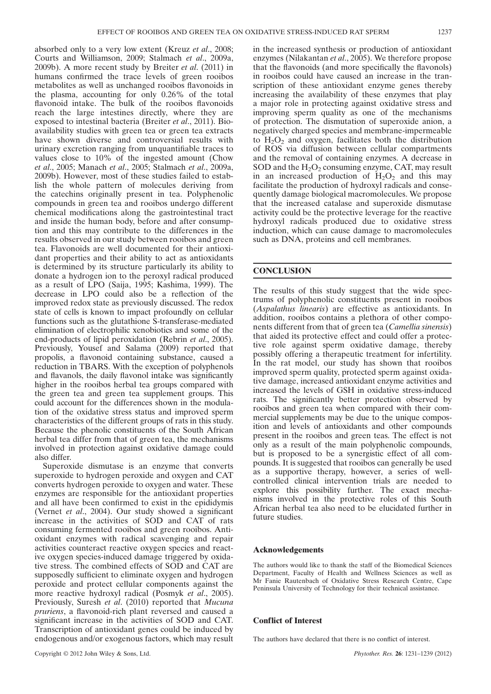absorbed only to a very low extent (Kreuz et al., 2008; Courts and Williamson, 2009; Stalmach et al., 2009a, 2009b). A more recent study by Breiter et al. (2011) in humans confirmed the trace levels of green rooibos metabolites as well as unchanged rooibos flavonoids in the plasma, accounting for only 0.26% of the total flavonoid intake. The bulk of the rooibos flavonoids reach the large intestines directly, where they are exposed to intestinal bacteria (Breiter et al., 2011). Bioavailability studies with green tea or green tea extracts have shown diverse and controversial results with urinary excretion ranging from unquantifiable traces to values close to 10% of the ingested amount (Chow et al., 2005; Manach et al., 2005; Stalmach et al., 2009a, 2009b). However, most of these studies failed to establish the whole pattern of molecules deriving from the catechins originally present in tea. Polyphenolic compounds in green tea and rooibos undergo different chemical modifications along the gastrointestinal tract and inside the human body, before and after consumption and this may contribute to the differences in the results observed in our study between rooibos and green tea. Flavonoids are well documented for their antioxidant properties and their ability to act as antioxidants is determined by its structure particularly its ability to donate a hydrogen ion to the peroxyl radical produced as a result of LPO (Saija, 1995; Kashima, 1999). The decrease in LPO could also be a reflection of the improved redox state as previously discussed. The redox state of cells is known to impact profoundly on cellular functions such as the glutathione S-transferase-mediated elimination of electrophilic xenobiotics and some of the end-products of lipid peroxidation (Rebrin et al., 2005). Previously, Yousef and Salama (2009) reported that propolis, a flavonoid containing substance, caused a reduction in TBARS. With the exception of polyphenols and flavanols, the daily flavonol intake was significantly higher in the rooibos herbal tea groups compared with the green tea and green tea supplement groups. This could account for the differences shown in the modulation of the oxidative stress status and improved sperm characteristics of the different groups of rats in this study. Because the phenolic constituents of the South African herbal tea differ from that of green tea, the mechanisms involved in protection against oxidative damage could also differ.

Superoxide dismutase is an enzyme that converts superoxide to hydrogen peroxide and oxygen and CAT converts hydrogen peroxide to oxygen and water. These enzymes are responsible for the antioxidant properties and all have been confirmed to exist in the epididymis (Vernet et al., 2004). Our study showed a significant increase in the activities of SOD and CAT of rats consuming fermented rooibos and green rooibos. Antioxidant enzymes with radical scavenging and repair activities counteract reactive oxygen species and reactive oxygen species-induced damage triggered by oxidative stress. The combined effects of SOD and CAT are supposedly sufficient to eliminate oxygen and hydrogen peroxide and protect cellular components against the more reactive hydroxyl radical (Posmyk et al., 2005). Previously, Suresh et al. (2010) reported that Mucuna pruriens, a flavonoid-rich plant reversed and caused a significant increase in the activities of SOD and CAT. Transcription of antioxidant genes could be induced by endogenous and/or exogenous factors, which may result

in the increased synthesis or production of antioxidant enzymes (Nilakantan et al., 2005). We therefore propose that the flavonoids (and more specifically the flavonols) in rooibos could have caused an increase in the transcription of these antioxidant enzyme genes thereby increasing the availability of these enzymes that play a major role in protecting against oxidative stress and improving sperm quality as one of the mechanisms

of protection. The dismutation of superoxide anion, a negatively charged species and membrane-impermeable to  $H_2O_2$  and oxygen, facilitates both the distribution of ROS via diffusion between cellular compartments and the removal of containing enzymes. A decrease in SOD and the  $H_2O_2$  consuming enzyme, CAT, may result in an increased production of  $H_2O_2$  and this may facilitate the production of hydroxyl radicals and consequently damage biological macromolecules. We propose that the increased catalase and superoxide dismutase activity could be the protective leverage for the reactive hydroxyl radicals produced due to oxidative stress induction, which can cause damage to macromolecules such as DNA, proteins and cell membranes.

#### **CONCLUSION**

The results of this study suggest that the wide spectrums of polyphenolic constituents present in rooibos (Aspalathus linearis) are effective as antioxidants. In addition, rooibos contains a plethora of other components different from that of green tea (Camellia sinensis) that aided its protective effect and could offer a protective role against sperm oxidative damage, thereby possibly offering a therapeutic treatment for infertility. In the rat model, our study has shown that rooibos improved sperm quality, protected sperm against oxidative damage, increased antioxidant enzyme activities and increased the levels of GSH in oxidative stress-induced rats. The significantly better protection observed by rooibos and green tea when compared with their commercial supplements may be due to the unique composition and levels of antioxidants and other compounds present in the rooibos and green teas. The effect is not only as a result of the main polyphenolic compounds, but is proposed to be a synergistic effect of all compounds. It is suggested that rooibos can generally be used as a supportive therapy, however, a series of wellcontrolled clinical intervention trials are needed to explore this possibility further. The exact mechanisms involved in the protective roles of this South African herbal tea also need to be elucidated further in future studies.

#### Acknowledgements

The authors would like to thank the staff of the Biomedical Sciences Department, Faculty of Health and Wellness Sciences as well as Mr Fanie Rautenbach of Oxidative Stress Research Centre, Cape Peninsula University of Technology for their technical assistance.

#### Conflict of Interest

The authors have declared that there is no conflict of interest.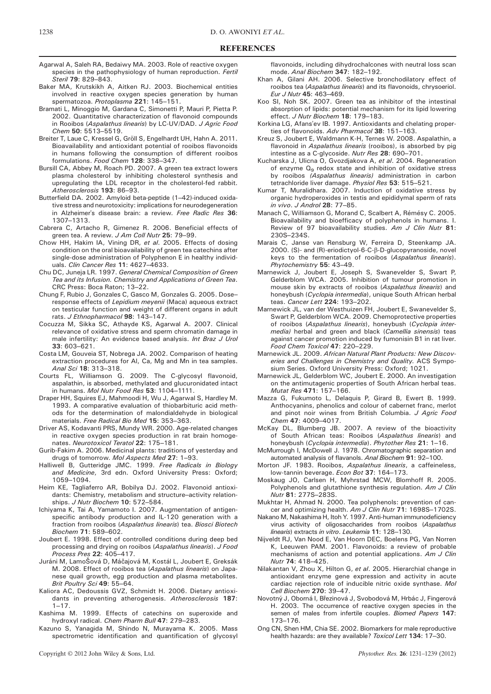- Agarwal A, Saleh RA, Bedaiwy MA. 2003. Role of reactive oxygen species in the pathophysiology of human reproduction. Fertil Steril 79: 829–843.
- Baker MA, Krutskikh A, Aitken RJ. 2003. Biochemical entities involved in reactive oxygen species generation by human spermatozoa. Protoplasma 221: 145–151.
- Bramati L, Minoggio M, Gardana C, Simonetti P, Mauri P, Pietta P. 2002. Quantitative characterization of flavonoid compounds in Rooibos (Aspalathus linearis) by LC-UV/DAD. J Agric Food Chem 50: 5513–5519.
- Breiter T, Laue C, Kressel G, Gröll S, Engelhardt UH, Hahn A. 2011. Bioavailability and antioxidant potential of rooibos flavonoids in humans following the consumption of different rooibos formulations. Food Chem 128: 338–347.
- Bursill CA, Abbey M, Roach PD. 2007. A green tea extract lowers plasma cholesterol by inhibiting cholesterol synthesis and upregulating the LDL receptor in the cholesterol-fed rabbit. Atherosclerosis 193: 86-93.
- Butterfield DA. 2002. Amyloid beta-peptide (1–42)-induced oxidative stress and neurotoxicity: implications for neurodegeneration in Alzheimer's disease brain: a review. Free Radic Res 36: 1307–1313.
- Cabrera C, Artacho R, Gimenez R. 2006. Beneficial effects of green tea. A review. J Am Coll Nutr 25: 79-99.
- Chow HH, Hakim IA, Vining DR, et al. 2005. Effects of dosing condition on the oral bioavailability of green tea catechins after single-dose administration of Polyphenon E in healthy individuals. Clin Cancer Res 11: 4627–4633.
- Chu DC, Juneja LR. 1997. General Chemical Composition of Green Tea and its Infusion. Chemistry and Applications of Green Tea. CRC Press: Boca Raton; 13–22.
- Chung F, Rubio J, Gonzales C, Gasco M, Gonzales G. 2005. Dose– response effects of Lepidium meyenii (Maca) aqueous extract on testicular function and weight of different organs in adult rats. J Ethnopharmacol 98: 143–147.
- Cocuzza M, Sikka SC, Athayde KS, Agarwal A. 2007. Clinical relevance of oxidative stress and sperm chromatin damage in male infertility: An evidence based analysis. Int Braz J Urol 33: 603–621.
- Costa LM, Gouveia ST, Nobrega JA. 2002. Comparison of heating extraction procedures for Al, Ca, Mg and Mn in tea samples. Anal Sci 18: 313–318.
- Courts FL, Williamson G. 2009. The C-glycosyl flavonoid, aspalathin, is absorbed, methylated and glucuronidated intact in humans. Mol Nutr Food Res 53: 1104–1111.
- Draper HH, Squires EJ, Mahmoodi H, Wu J, Agarwal S, Hardley M. 1993. A comparative evaluation of thiobarbituric acid methods for the determination of malondialdehyde in biological materials. Free Radical Bio Med 15: 353–363.
- Driver AS, Kodavanti PRS, Mundy WR. 2000. Age-related changes in reactive oxygen species production in rat brain homogenates. Neurotoxicol Teratol 22: 175–181.
- Gurib-Fakim A. 2006. Medicinal plants: traditions of yesterday and drugs of tomorrow. Mol Aspects Med 27: 1-93.
- Halliwell B, Gutteridge JMC. 1999. Free Radicals in Biology and Medicine, 3rd edn. Oxford University Press: Oxford; 1059–1094.
- Heim KE, Tagliaferro AR, Bobilya DJ. 2002. Flavonoid antioxidants: Chemistry, metabolism and structure–activity relationships. J Nutr Biochem 10: 572–584.
- Ichiyama K, Tai A, Yamamoto I. 2007. Augmentation of antigenspecific antibody production and IL-120 generation with a fraction from rooibos (Aspalathus linearis) tea. Biosci Biotech Biochem 71: 589–602.
- Joubert E. 1998. Effect of controlled conditions during deep bed processing and drying on rooibos (Aspalathus linearis). J Food Process Pres 22: 405–417.
- Juráni M, LamoŠová D, Máčajová M, Kostál L, Joubert E, Greksák M. 2008. Effect of rooibos tea (Aspalathus linearis) on Japanese quail growth, egg production and plasma metabolites. Brit Poultry Sci 49: 55–64.
- Kaliora AC, Dedoussis GVZ, Schmidt H. 2006. Dietary antioxidants in preventing atherogenesis. Atherosclerosis 187:  $1 - 17$ .
- Kashima M. 1999. Effects of catechins on superoxide and hydroxyl radical. Chem Pharm Bull 47: 279–283.
- Kazuno S, Yanagida M, Shindo N, Murayama K. 2005. Mass spectrometric identification and quantification of glycosyl

flavonoids, including dihydrochalcones with neutral loss scan mode. Anal Biochem 347: 182–192.

- Khan A, Gilani AH. 2006. Selective bronchodilatory effect of rooibos tea (Aspalathus linearis) and its flavonoids, chrysoeriol. Eur J Nutr 45: 463–469.
- Koo SI, Noh SK. 2007. Green tea as inhibitor of the intestinal absorption of lipids: potential mechanism for its lipid lowering effect. J Nutr Biochem 18: 179–183.
- Korkina LG, Afans'ev IB. 1997. Antioxidants and chelating properties of flavonoids. Adv Pharmacol 38: 151-163.
- Kreuz S, Joubert E, Waldmann K-H, Ternes W. 2008. Aspalathin, a flavonoid in Aspalathus linearis (rooibos), is absorbed by pig intestine as a C-glycoside. Nutr Res 28: 690–701.
- Kucharska J, Ulicna O, Gvozdjakova A, et al. 2004. Regeneration of enzyme  $Q_9$  redox state and inhibition of oxidative stress by rooibos (Aspalathus linearis) administration in carbon tetrachloride liver damage. Physiol Res 53: 515-521.
- Kumar T, Muralidhara. 2007. Induction of oxidative stress by organic hydroperoxides in testis and epididymal sperm of rats in vivo. J Androl 28: 77–85.
- Manach C, Williamson G, Morand C, Scalbert A, Rémésy C. 2005. Bioavailability and bioefficacy of polyphenols in humans. I. Review of 97 bioavailability studies. Am J Clin Nutr 81: 230S–234S.
- Marais C, Janse van Rensburg W, Ferreira D, Steenkamp JA. 2000. (S)- and (R)-eriodictyol-6-C-b-D-glucopyranoside, novel keys to the fermentation of rooibos (Aspalathus linearis). Phytochemistry 55: 43–49.
- Marnewick J, Joubert E, Joseph S, Swanevelder S, Swart P, Gelderblom WCA. 2005. Inhibition of tumour promotion in mouse skin by extracts of rooibos (Aspalathus linearis) and honeybush (Cyclopia intermedia), unique South African herbal teas. Cancer Lett 224: 193–202.
- Marnewick JL, van der Westhuizen FH, Joubert E, Swanevelder S, Swart P, Gelderblom WCA. 2009. Chemoprotective properties of rooibos (Aspalathus linearis), honeybush (Cyclopia intermedia) herbal and green and black (Camellia sinensis) teas against cancer promotion induced by fumonisin B1 in rat liver. Food Chem Toxicol 47: 220–229.
- Marnewick JL. 2009. African Natural Plant Products: New Discoveries and Challenges in Chemistry and Quality. ACS Symposium Series. Oxford University Press: Oxford; 1021.
- Marnewick JL, Gelderblom WC, Joubert E. 2000. An investigation on the antimutagenic properties of South African herbal teas. Mutat Res 471: 157–166.
- Mazza G, Fukumoto L, Delaquis P, Girard B, Ewert B. 1999. Anthocyanins, phenolics and colour of cabernet franc, merlot and pinot noir wines from British Columbia. J Agric Food Chem 47: 4009–4017.
- McKay DL, Blumberg JB. 2007. A review of the bioactivity of South African teas: Rooibos (Aspalathus linearis) and honeybush (Cyclopia intermedia). Phytother Res 21: 1-16.
- McMurrough I, McDowell J. 1978. Chromatographic separation and automated analysis of flavanols. Anal Biochem 91: 92–100.
- Morton JF. 1983. Rooibos, Aspalathus linearis, a caffeineless, low-tannin beverage. Econ Bot 37: 164-173.
- Moskaug JO, Carlsen H, Myhrstad MCW, Blomhoff R. 2005. Polyphenols and glutathione synthesis regulation. Am J Clin Nutr 81: 277S–283S.
- Mukhtar H, Ahmad N. 2000. Tea polyphenols: prevention of cancer and optimizing health. Am J Clin Nutr 71: 1698S-1702S.
- Nakano M, Nakashima H, Itoh Y. 1997. Anti-human immunodeficiency virus activity of oligosaccharides from rooibos (Aspalathus linearis) extracts in vitro. Leukemia 11: 128–130.
- Nijveldt RJ, Van Nood E, Van Hoorn DEC, Boelens PG, Van Norren K, Leeuwen PAM. 2001. Flavonoids: a review of probable mechanisms of action and potential applications. Am J Clin Nutr 74: 418–425.
- Nilakantan V, Zhou X, Hilton G, et al. 2005. Hierarchial change in antioxidant enzyme gene expression and activity in acute cardiac rejection role of inducible nitric oxide synthase. Mol Cell Biochem 270: 39–47.
- Novotný J, Oborná I, Březinová J, Svobodová M, Hrbác J, Fingerová H. 2003. The occurrence of reactive oxygen species in the semen of males from infertile couples. Biomed Papers 147: 173–176.
- Ong CN, Shen HM, Chia SE. 2002. Biomarkers for male reproductive health hazards: are they available? Toxicol Lett 134: 17-30.